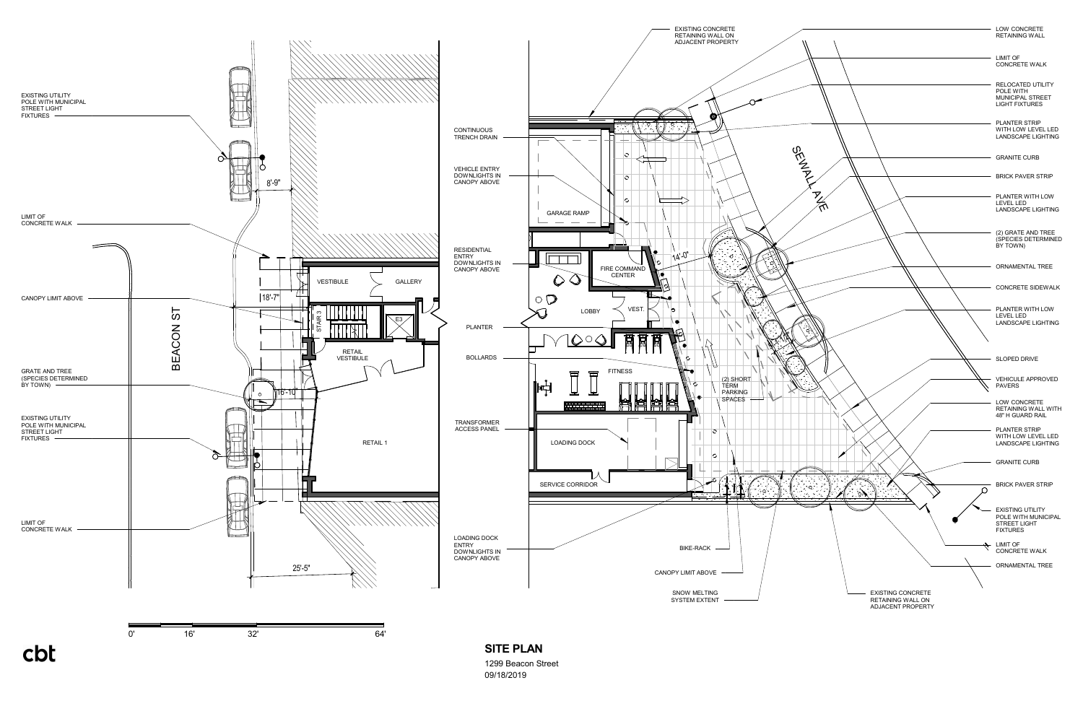

<sup>1299</sup> Beacon Street 09/18/2019